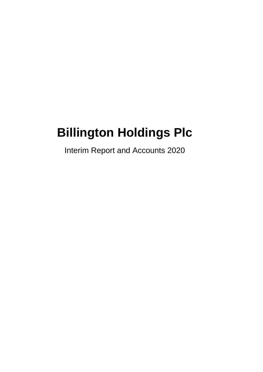# **Billington Holdings Plc**

Interim Report and Accounts 2020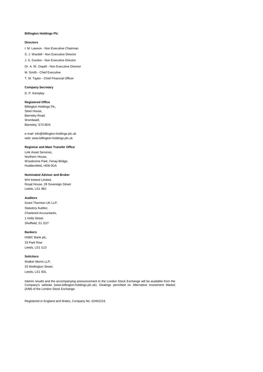#### **Billington Holdings Plc**

## **Directors**

I. M. Lawson - Non Executive Chairman S. J. Wardell - Non Executive Director J. S. Gordon - Non Executive Director Dr. A. W. Ospelt - Non Executive Director M. Smith - Chief Executive T. M. Taylor - Chief Financial Officer

### **Company Secretary**

D. P. Kemplay

## **Registered Office**

Billington Holdings Plc, Steel House, Barnsley Road, Wombwell, Barnsley, S73 8DS

e-mail: info@billington-holdings.plc.uk web: www.billington-holdings.plc.uk

## **Registrar and Main Transfer Office**

Link Asset Services, Northern House, Woodsome Park, Fenay Bridge, Huddersfield, HD8 0GA

#### **Nominated Advisor and Broker**

WH Ireland Limited, Royal House, 28 Sovereign Street Leeds, LS1 4BJ

## **Auditors**

Grant Thornton UK LLP, Statutory Auditor, Chartered Accountants, 1 Holly Street, Sheffield, S1 2GT

## **Bankers**

HSBC Bank plc, 33 Park Row Leeds, LS1 1LD

#### **Solicitors**

Walker Morris LLP, 33 Wellington Street, Leeds, LS1 4DL

Interim results and the accompanying announcement to the London Stock Exchange will be available from the Company's website (www.billington-holdings.plc.uk). Dealings permitted on Alternative Investment Market (AIM) of the London Stock Exchange.

Registered in England and Wales, Company No. 02402219.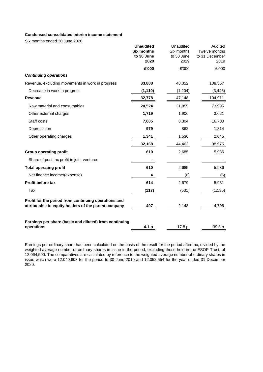# **Condensed consolidated interim income statement**

Six months ended 30 June 2020

|                                                                                                              | <b>Unaudited</b><br><b>Six months</b><br>to 30 June<br>2020 | Unaudited<br>Six months<br>to 30 June<br>2019 | Audited<br>Twelve months<br>to 31 December<br>2019 |
|--------------------------------------------------------------------------------------------------------------|-------------------------------------------------------------|-----------------------------------------------|----------------------------------------------------|
|                                                                                                              | £'000                                                       | £'000                                         | £'000                                              |
| <b>Continuing operations</b>                                                                                 |                                                             |                                               |                                                    |
| Revenue, excluding movements in work in progress                                                             | 33,888                                                      | 48,352                                        | 108,357                                            |
| Decrease in work in progress                                                                                 | (1, 110)                                                    | (1,204)                                       | (3, 446)                                           |
| <b>Revenue</b>                                                                                               | 32,778                                                      | 47,148                                        | 104,911                                            |
| Raw material and consumables                                                                                 | 20,524                                                      | 31,855                                        | 73,995                                             |
| Other external charges                                                                                       | 1,719                                                       | 1,906                                         | 3,621                                              |
| Staff costs                                                                                                  | 7,605                                                       | 8,304                                         | 16,700                                             |
| Depreciation                                                                                                 | 979                                                         | 862                                           | 1,814                                              |
| Other operating charges                                                                                      | 1,341                                                       | 1,536                                         | 2,845                                              |
|                                                                                                              | 32,168                                                      | 44,463                                        | 98,975                                             |
| <b>Group operating profit</b>                                                                                | 610                                                         | 2,685                                         | 5,936                                              |
| Share of post tax profit in joint ventures                                                                   |                                                             |                                               |                                                    |
| <b>Total operating profit</b>                                                                                | 610                                                         | 2,685                                         | 5,936                                              |
| Net finance income/(expense)                                                                                 | 4                                                           | (6)                                           | (5)                                                |
| <b>Profit before tax</b>                                                                                     | 614                                                         | 2,679                                         | 5,931                                              |
| Tax                                                                                                          | (117)                                                       | (531)                                         | (1, 135)                                           |
| Profit for the period from continuing operations and<br>attributable to equity holders of the parent company | 497                                                         | 2,148                                         | 4,796                                              |
| Earnings per share (basic and diluted) from continuing<br>operations                                         | 4.1 p                                                       | 17.8 p                                        | 39.8 p                                             |

Earnings per ordinary share has been calculated on the basis of the result for the period after tax, divided by the weighted average number of ordinary shares in issue in the period, excluding those held in the ESOP Trust, of 12,064,500. The comparatives are calculated by reference to the weighted average number of ordinary shares in issue which were 12,040,608 for the period to 30 June 2019 and 12,052,554 for the year ended 31 December 2020.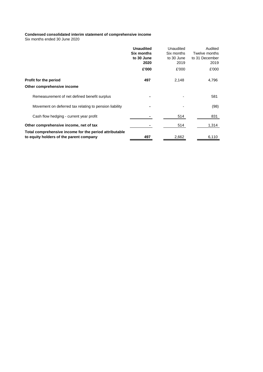# **Condensed consolidated interim statement of comprehensive income**

Six months ended 30 June 2020

|                                                                                                   | <b>Unaudited</b><br><b>Six months</b><br>to 30 June<br>2020 | Unaudited<br>Six months<br>to 30 June<br>2019 | Audited<br>Twelve months<br>to 31 December<br>2019 |
|---------------------------------------------------------------------------------------------------|-------------------------------------------------------------|-----------------------------------------------|----------------------------------------------------|
|                                                                                                   | £'000                                                       | £'000                                         | £'000                                              |
| Profit for the period<br>Other comprehensive income                                               | 497                                                         | 2,148                                         | 4,796                                              |
| Remeasurement of net defined benefit surplus                                                      |                                                             |                                               | 581                                                |
| Movement on deferred tax relating to pension liability                                            |                                                             |                                               | (98)                                               |
| Cash flow hedging - current year profit                                                           |                                                             | 514                                           | 831                                                |
| Other comprehensive income, net of tax                                                            |                                                             | 514                                           | 1,314                                              |
| Total comprehensive income for the period attributable<br>to equity holders of the parent company | 497                                                         | 2,662                                         | 6,110                                              |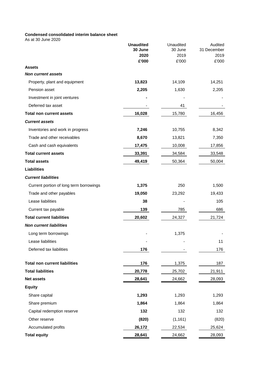# **Condensed consolidated interim balance sheet**

As at 30 June 2020

|                                         | <b>Unaudited</b> | Unaudited     | Audited       |
|-----------------------------------------|------------------|---------------|---------------|
|                                         | 30 June          | 30 June       | 31 December   |
|                                         | 2020<br>£'000    | 2019<br>£'000 | 2019<br>£'000 |
| <b>Assets</b>                           |                  |               |               |
| <b>Non current assets</b>               |                  |               |               |
| Property, plant and equipment           | 13,823           | 14,109        | 14,251        |
| Pension asset                           | 2,205            | 1,630         | 2,205         |
| Investment in joint ventures            |                  |               |               |
| Deferred tax asset                      |                  | 41            |               |
| <b>Total non current assets</b>         | 16,028           | 15,780        | 16,456        |
| <b>Current assets</b>                   |                  |               |               |
| Inventories and work in progress        | 7,246            | 10,755        | 8,342         |
| Trade and other receivables             | 8,670            | 13,821        | 7,350         |
| Cash and cash equivalents               | 17,475           | 10,008        | 17,856        |
| <b>Total current assets</b>             | 33,391           | 34,584        | 33,548        |
| <b>Total assets</b>                     | 49,419           | 50,364        | 50,004        |
| <b>Liabilities</b>                      |                  |               |               |
| <b>Current liabilities</b>              |                  |               |               |
| Current portion of long term borrowings | 1,375            | 250           | 1,500         |
| Trade and other payables                | 19,050           | 23,292        | 19,433        |
| Lease liabilities                       | 38               |               | 105           |
| Current tax payable                     | 139              | 785           | 686           |
| <b>Total current liabilities</b>        | 20,602           | 24,327        | 21,724        |
| <b>Non current liabilities</b>          |                  |               |               |
| Long term borrowings                    |                  | 1,375         |               |
| Lease liabilities                       |                  |               | 11            |
| Deferred tax liabilities                | 176              |               | 176           |
| <b>Total non current liabilities</b>    | 176              | 1,375         | 187           |
| <b>Total liabilities</b>                | 20,778           | 25,702        | 21,911        |
| Net assets                              | 28,641           | 24,662        | 28,093        |
| <b>Equity</b>                           |                  |               |               |
| Share capital                           | 1,293            | 1,293         | 1,293         |
| Share premium                           | 1,864            | 1,864         | 1,864         |
| Capital redemption reserve              | 132              | 132           | 132           |
| Other reserve                           | (820)            | (1, 161)      | (820)         |
| Accumulated profits                     | 26,172           | 22,534        | 25,624        |
| <b>Total equity</b>                     | 28,641           | 24,662        | 28,093        |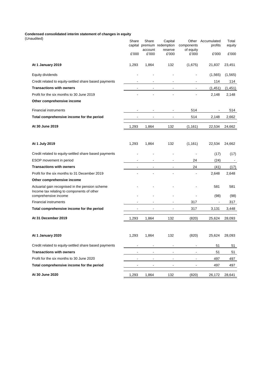#### **Condensed consolidated interim statement of changes in equity**

| (Unaudited)                                                                                   | Share                    | Share<br>account | Capital<br>capital premium redemption<br>reserve | components<br>of equity  | Other Accumulated<br>profits | Total<br>equity |
|-----------------------------------------------------------------------------------------------|--------------------------|------------------|--------------------------------------------------|--------------------------|------------------------------|-----------------|
|                                                                                               | £'000                    | £'000            | £'000                                            | £'000                    | £'000                        | £'000           |
| At 1 January 2019                                                                             | 1,293                    | 1,864            | 132                                              | (1,675)                  | 21,837                       | 23,451          |
| Equity dividends                                                                              |                          |                  |                                                  |                          | (1,565)                      | (1, 565)        |
| Credit related to equity-settled share based payments                                         |                          | $\blacksquare$   |                                                  | $\blacksquare$           | 114                          | 114             |
| <b>Transactions with owners</b>                                                               | $\blacksquare$           |                  | $\blacksquare$                                   | $\overline{\phantom{a}}$ | (1,451)                      | (1, 451)        |
| Profit for the six months to 30 June 2019                                                     |                          |                  |                                                  | $\blacksquare$           | 2,148                        | 2,148           |
| Other comprehensive income                                                                    |                          |                  |                                                  |                          |                              |                 |
| <b>Financial instruments</b>                                                                  | ٠                        | $\blacksquare$   | $\blacksquare$                                   | 514                      | $\blacksquare$               | 514             |
| Total comprehensive income for the period                                                     | $\blacksquare$           | $\blacksquare$   | $\overline{\phantom{a}}$                         | 514                      | 2,148                        | 2,662           |
| At 30 June 2019                                                                               | 1,293                    | 1,864            | 132                                              | (1, 161)                 | 22,534                       | 24,662          |
| At 1 July 2019                                                                                | 1,293                    | 1,864            | 132                                              | (1, 161)                 | 22,534                       | 24,662          |
| Credit related to equity-settled share based payments                                         |                          |                  |                                                  |                          | (17)                         | (17)            |
| ESOP movement in period                                                                       | $\blacksquare$           |                  |                                                  | 24                       | (24)                         | $\blacksquare$  |
| <b>Transactions with owners</b>                                                               |                          |                  |                                                  | 24                       | (41)                         | (17)            |
| Profit for the six months to 31 December 2019                                                 |                          |                  |                                                  | $\blacksquare$           | 2,648                        | 2,648           |
| Other comprehensive income                                                                    |                          |                  |                                                  |                          |                              |                 |
| Actuarial gain recognised in the pension scheme<br>Income tax relating to components of other |                          |                  |                                                  |                          | 581                          | 581             |
| comprehensive income                                                                          |                          |                  |                                                  |                          | (98)                         | (98)            |
| <b>Financial instruments</b>                                                                  | $\blacksquare$           | $\blacksquare$   | $\blacksquare$                                   | 317                      | $\overline{\phantom{a}}$     | 317             |
| Total comprehensive income for the period                                                     |                          | $\blacksquare$   | $\blacksquare$                                   | 317                      | 3,131                        | 3,448           |
| At 31 December 2019                                                                           | 1,293                    | 1,864            | 132                                              | (820)                    | 25,624                       | 28,093          |
| At 1 January 2020                                                                             | 1,293                    | 1,864            | 132                                              | (820)                    | 25,624                       | 28,093          |
| Credit related to equity-settled share based payments                                         |                          | $\sim$           | $\sim$                                           | $\blacksquare$           | 51                           | 51              |
| <b>Transactions with owners</b>                                                               |                          | $\sim$           | $\sim$                                           | $\overline{\phantom{a}}$ | 51                           | 51              |
| Profit for the six months to 30 June 2020                                                     | ٠                        | $\blacksquare$   | $\blacksquare$                                   | $\blacksquare$           | 497                          | 497             |
| Total comprehensive income for the period                                                     | $\overline{\phantom{a}}$ |                  |                                                  |                          | 497                          | 497             |
| At 30 June 2020                                                                               | 1,293                    | 1,864            | 132                                              | (820)                    | 26,172                       | 28,641          |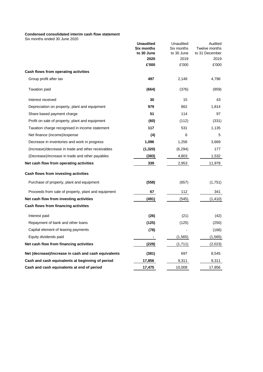# **Condensed consolidated interim cash flow statement**

Six months ended 30 June 2020

| SIX MONTRIS GRUGO 30 JUNE ZUZU                       |                                       |                         |                          |
|------------------------------------------------------|---------------------------------------|-------------------------|--------------------------|
|                                                      | <b>Unaudited</b><br><b>Six months</b> | Unaudited<br>Six months | Audited<br>Twelve months |
|                                                      | to 30 June                            | to 30 June              | to 31 December           |
|                                                      | 2020                                  | 2019                    | 2019                     |
|                                                      | £'000                                 | £'000                   | £'000                    |
| Cash flows from operating activities                 |                                       |                         |                          |
| Group profit after tax                               | 497                                   | 2,148                   | 4,796                    |
| <b>Taxation paid</b>                                 | (664)                                 | (376)                   | (959)                    |
| Interest received                                    | 30                                    | 15                      | 43                       |
| Depreciation on property, plant and equipment        | 979                                   | 862                     | 1,814                    |
| Share based payment charge                           | 51                                    | 114                     | 97                       |
| Profit on sale of property, plant and equipment      | (60)                                  | (112)                   | (331)                    |
| Taxation charge recognised in income statement       | 117                                   | 531                     | 1,135                    |
| Net finance (income)/expense                         | (4)                                   | 6                       | 5                        |
| Decrease in inventories and work in progress         | 1,096                                 | 1,256                   | 3,669                    |
| (Increase)/decrease in trade and other receivables   | (1,320)                               | (6, 294)                | 177                      |
| (Decrease)/increase in trade and other payables      | (383)                                 | 4,803                   | 1,532                    |
| Net cash flow from operating activities              | 339                                   | 2,953                   | 11,978                   |
| Cash flows from investing activities                 |                                       |                         |                          |
| Purchase of property, plant and equipment            | (558)                                 | (657)                   | (1,751)                  |
| Proceeds from sale of property, plant and equipment  | 67                                    | 112                     | 341                      |
| Net cash flow from investing activities              | (491)                                 | (545)                   | (1, 410)                 |
| Cash flows from financing activities                 |                                       |                         |                          |
| Interest paid                                        | (26)                                  | (21)                    | (42)                     |
| Repayment of bank and other loans                    | (125)                                 | (125)                   | (250)                    |
| Capital element of leasing payments                  | (78)                                  |                         | (166)                    |
| Equity dividends paid                                |                                       | (1, 565)                | (1, 565)                 |
| Net cash flow from financing activities              | (229)                                 | (1,711)                 | (2,023)                  |
| Net (decrease)/increase in cash and cash equivalents | (381)                                 | 697                     | 8,545                    |
| Cash and cash equivalents at beginning of period     | 17,856                                | 9,311                   | 9,311                    |
| Cash and cash equivalents at end of period           | 17,475                                | 10,008                  | 17,856                   |